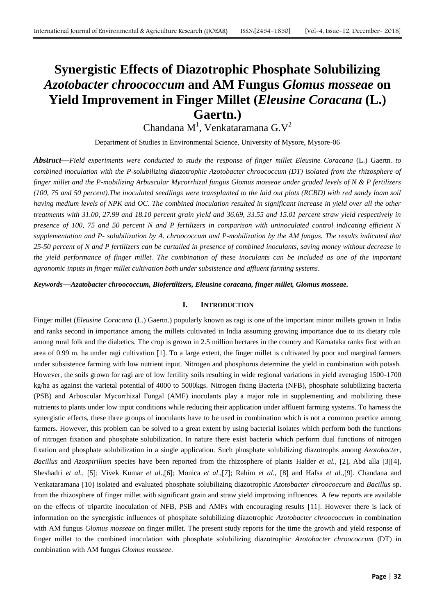# **Synergistic Effects of Diazotrophic Phosphate Solubilizing**  *Azotobacter chroococcum* **and AM Fungus** *Glomus mosseae* **on Yield Improvement in Finger Millet (***Eleusine Coracana* **(L.) Gaertn.)**

Chandana M<sup>1</sup>, Venkataramana G.V<sup>2</sup>

Department of Studies in Environmental Science, University of Mysore, Mysore-06

*Abstract***—***Field experiments were conducted to study the response of finger millet Eleusine Coracana* (L.) Gaertn*. to combined inoculation with the P-solubilizing diazotrophic Azotobacter chroococcum (DT) isolated from the rhizosphere of finger millet and the P-mobilizing Arbuscular Mycorrhizal fungus Glomus mosseae under graded levels of N & P fertilizers (100, 75 and 50 percent).The inoculated seedlings were transplanted to the laid out plots (RCBD) with red sandy loam soil having medium levels of NPK and OC. The combined inoculation resulted in significant increase in yield over all the other treatments with 31.00, 27.99 and 18.10 percent grain yield and 36.69, 33.55 and 15.01 percent straw yield respectively in presence of 100, 75 and 50 percent N and P fertilizers in comparison with uninoculated control indicating efficient N supplementation and P- solubilization by A. chroococcum and P-mobilization by the AM fungus. The results indicated that 25-50 percent of N and P fertilizers can be curtailed in presence of combined inoculants, saving money without decrease in the yield performance of finger millet. The combination of these inoculants can be included as one of the important agronomic inputs in finger millet cultivation both under subsistence and affluent farming systems.*

*Keywords***—***Azatobacter chroococcum, Biofertilizers, Eleusine coracana, finger millet, Glomus mosseae.*

# **I. INTRODUCTION**

Finger millet (*Eleusine Coracana* (L.) Gaertn.) popularly known as ragi is one of the important minor millets grown in India and ranks second in importance among the millets cultivated in India assuming growing importance due to its dietary role among rural folk and the diabetics. The crop is grown in 2.5 million hectares in the country and Karnataka ranks first with an area of 0.99 m. ha under ragi cultivation [1]. To a large extent, the finger millet is cultivated by poor and marginal farmers under subsistence farming with low nutrient input. Nitrogen and phosphorus determine the yield in combination with potash. However, the soils grown for ragi are of low fertility soils resulting in wide regional variations in yield averaging 1500-1700 kg/ha as against the varietal potential of 4000 to 5000kgs. Nitrogen fixing Bacteria (NFB), phosphate solubilizing bacteria (PSB) and Arbuscular Mycorrhizal Fungal (AMF) inoculants play a major role in supplementing and mobilizing these nutrients to plants under low input conditions while reducing their application under affluent farming systems. To harness the synergistic effects, these three groups of inoculants have to be used in combination which is not a common practice among farmers. However, this problem can be solved to a great extent by using bacterial isolates which perform both the functions of nitrogen fixation and phosphate solubilization. In nature there exist bacteria which perform dual functions of nitrogen fixation and phosphate solubilization in a single application. Such phosphate solubilizing diazotrophs among *Azotobacter, Bacillus* and *Azospirillum* species have been reported from the rhizosphere of plants Halder *et al.*, [2], Abd alla [3][4], Sheshadri *et al.*, [5]; Vivek Kumar *et al.*, [6]; Monica *et al.*, [7]; Rahim *et al.*, [8] and Hafsa *et al.*, [9]. Chandana and Venkataramana 10 isolated and evaluated phosphate solubilizing diazotrophic *Azotobacter chroococcum* and *Bacillus* sp. from the rhizosphere of finger millet with significant grain and straw yield improving influences. A few reports are available on the effects of tripartite inoculation of NFB, PSB and AMFs with encouraging results [11]. However there is lack of information on the synergistic influences of phosphate solubilizing diazotrophic *Azotobacter chroococcum* in combination with AM fungus *Glomus mosseae* on finger millet. The present study reports for the time the growth and yield response of finger millet to the combined inoculation with phosphate solubilizing diazotrophic *Azotobacter chroococcum* (DT) in combination with AM fungus *Glomus mosseae.*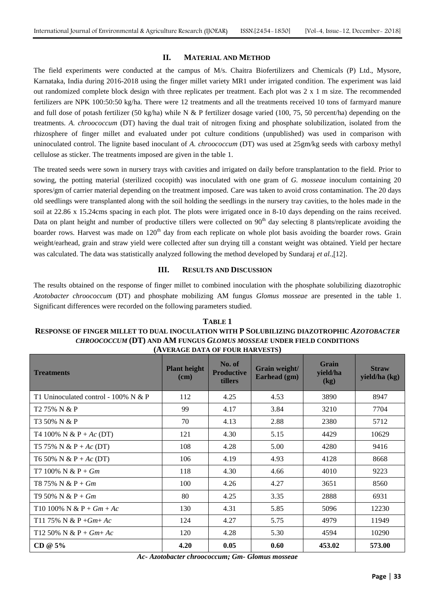### **II. MATERIAL AND METHOD**

The field experiments were conducted at the campus of M/s. Chaitra Biofertilizers and Chemicals (P) Ltd., Mysore, Karnataka, India during 2016-2018 using the finger millet variety MR1 under irrigated condition. The experiment was laid out randomized complete block design with three replicates per treatment. Each plot was 2 x 1 m size. The recommended fertilizers are NPK 100:50:50 kg/ha. There were 12 treatments and all the treatments received 10 tons of farmyard manure and full dose of potash fertilizer (50 kg/ha) while N & P fertilizer dosage varied (100, 75, 50 percent/ha) depending on the treatments. *A. chroococcum* (DT) having the dual trait of nitrogen fixing and phosphate solubilization, isolated from the rhizosphere of finger millet and evaluated under pot culture conditions (unpublished) was used in comparison with uninoculated control. The lignite based inoculant of *A. chroococcum* (DT) was used at 25gm/kg seeds with carboxy methyl cellulose as sticker. The treatments imposed are given in the table 1.

The treated seeds were sown in nursery trays with cavities and irrigated on daily before transplantation to the field. Prior to sowing, the potting material (sterilized cocopith) was inoculated with one gram of *G. mosseae* inoculum containing 20 spores/gm of carrier material depending on the treatment imposed. Care was taken to avoid cross contamination. The 20 days old seedlings were transplanted along with the soil holding the seedlings in the nursery tray cavities, to the holes made in the soil at 22.86 x 15.24cms spacing in each plot. The plots were irrigated once in 8-10 days depending on the rains received. Data on plant height and number of productive tillers were collected on  $90<sup>th</sup>$  day selecting 8 plants/replicate avoiding the boarder rows. Harvest was made on 120<sup>th</sup> day from each replicate on whole plot basis avoiding the boarder rows. Grain weight/earhead, grain and straw yield were collected after sun drying till a constant weight was obtained. Yield per hectare was calculated. The data was statistically analyzed following the method developed by Sundaraj *et al.*,[12].

# **III. RESULTS AND DISCUSSION**

The results obtained on the response of finger millet to combined inoculation with the phosphate solubilizing diazotrophic *Azotobacter chroococcum* (DT) and phosphate mobilizing AM fungus *Glomus mosseae* are presented in the table 1. Significant differences were recorded on the following parameters studied.

# **TABLE 1 RESPONSE OF FINGER MILLET TO DUAL INOCULATION WITH P SOLUBILIZING DIAZOTROPHIC** *AZOTOBACTER CHROOCOCCUM* **(DT) AND AM FUNGUS** *GLOMUS MOSSEAE* **UNDER FIELD CONDITIONS (AVERAGE DATA OF FOUR HARVESTS)**

| <b>Treatments</b>                       | <b>Plant height</b><br>$cm$ ) | No. of<br><b>Productive</b><br><b>tillers</b> | Grain weight/<br>Earhead (gm) | <b>Grain</b><br>yield/ha<br>$\left(\mathbf{kg}\right)$ | <b>Straw</b><br>yield/ha (kg) |
|-----------------------------------------|-------------------------------|-----------------------------------------------|-------------------------------|--------------------------------------------------------|-------------------------------|
| T1 Uninoculated control - $100\%$ N & P | 112                           | 4.25                                          | 4.53                          | 3890                                                   | 8947                          |
| T2 75% N & P                            | 99                            | 4.17                                          | 3.84                          | 3210                                                   | 7704                          |
| T3 50% N & P                            | 70                            | 4.13                                          | 2.88                          | 2380                                                   | 5712                          |
| T4 100% N & P + $Ac$ (DT)               | 121                           | 4.30                                          | 5.15                          | 4429                                                   | 10629                         |
| T5 75% N & P + $Ac$ (DT)                | 108                           | 4.28                                          | 5.00                          | 4280                                                   | 9416                          |
| T6 50% N & P + $Ac$ (DT)                | 106                           | 4.19                                          | 4.93                          | 4128                                                   | 8668                          |
| T7 100% N & P + $Gm$                    | 118                           | 4.30                                          | 4.66                          | 4010                                                   | 9223                          |
| $T875\% N & P + Gm$                     | 100                           | 4.26                                          | 4.27                          | 3651                                                   | 8560                          |
| T9 50% N & P + $Gm$                     | 80                            | 4.25                                          | 3.35                          | 2888                                                   | 6931                          |
| T10 100% N & P + $Gm + Ac$              | 130                           | 4.31                                          | 5.85                          | 5096                                                   | 12230                         |
| T11 75% N & P + Gm + Ac                 | 124                           | 4.27                                          | 5.75                          | 4979                                                   | 11949                         |
| T12 50% N & P + $Gm+Ac$                 | 120                           | 4.28                                          | 5.30                          | 4594                                                   | 10290                         |
| $CD @ 5\%$                              | 4.20                          | 0.05                                          | 0.60                          | 453.02                                                 | 573.00                        |

*Ac- Azotobacter chroococcum; Gm- Glomus mosseae*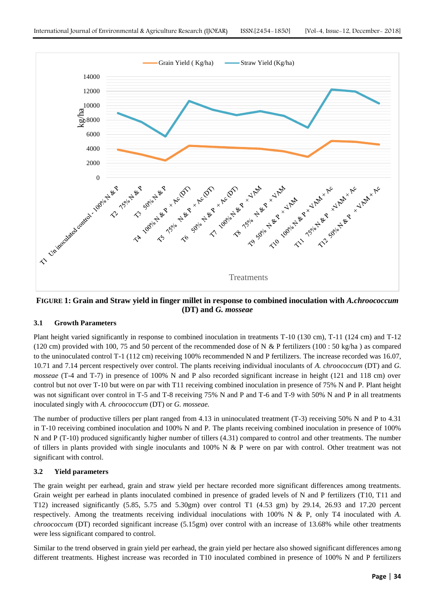

**FIGURE 1: Grain and Straw yield in finger millet in response to combined inoculation with** *A.chroococcum* **(DT) and** *G. mosseae*

# **3.1 Growth Parameters**

Plant height varied significantly in response to combined inoculation in treatments T-10 (130 cm), T-11 (124 cm) and T-12 (120 cm) provided with 100, 75 and 50 percent of the recommended dose of N & P fertilizers (100 : 50 kg/ha) as compared to the uninoculated control T-1 (112 cm) receiving 100% recommended N and P fertilizers. The increase recorded was 16.07, 10.71 and 7.14 percent respectively over control. The plants receiving individual inoculants of *A. chroococcum* (DT) and *G. mosseae* (T-4 and T-7) in presence of 100% N and P also recorded significant increase in height (121 and 118 cm) over control but not over T-10 but were on par with T11 receiving combined inoculation in presence of 75% N and P. Plant height was not significant over control in T-5 and T-8 receiving 75% N and P and T-6 and T-9 with 50% N and P in all treatments inoculated singly with *A. chroococcum* (DT) or *G. mosseae.*

The number of productive tillers per plant ranged from 4.13 in uninoculated treatment (T-3) receiving 50% N and P to 4.31 in T-10 receiving combined inoculation and 100% N and P. The plants receiving combined inoculation in presence of 100% N and P (T-10) produced significantly higher number of tillers (4.31) compared to control and other treatments. The number of tillers in plants provided with single inoculants and  $100\%$  N & P were on par with control. Other treatment was not significant with control.

# **3.2 Yield parameters**

The grain weight per earhead, grain and straw yield per hectare recorded more significant differences among treatments. Grain weight per earhead in plants inoculated combined in presence of graded levels of N and P fertilizers (T10, T11 and T12) increased significantly (5.85, 5.75 and 5.30gm) over control T1 (4.53 gm) by 29.14, 26.93 and 17.20 percent respectively. Among the treatments receiving individual inoculations with 100% N & P, only T4 inoculated with *A. chroococcum* (DT) recorded significant increase (5.15gm) over control with an increase of 13.68% while other treatments were less significant compared to control.

Similar to the trend observed in grain yield per earhead, the grain yield per hectare also showed significant differences among different treatments. Highest increase was recorded in T10 inoculated combined in presence of 100% N and P fertilizers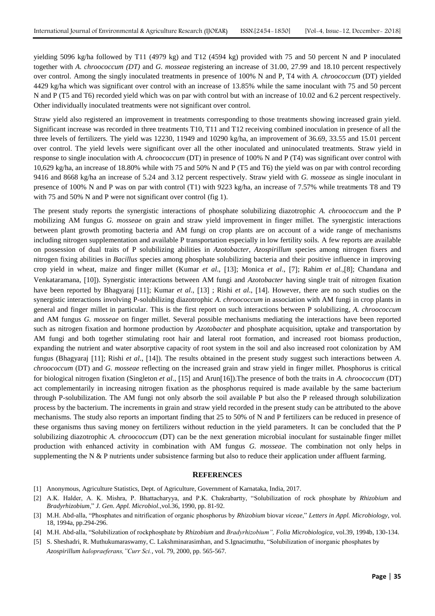yielding 5096 kg/ha followed by T11 (4979 kg) and T12 (4594 kg) provided with 75 and 50 percent N and P inoculated together with *A. chroococcum (DT)* and *G. mosseae* registering an increase of 31.00, 27.99 and 18.10 percent respectively over control. Among the singly inoculated treatments in presence of 100% N and P, T4 with *A. chroococcum* (DT) yielded 4429 kg/ha which was significant over control with an increase of 13.85% while the same inoculant with 75 and 50 percent N and P (T5 and T6) recorded yield which was on par with control but with an increase of 10.02 and 6.2 percent respectively. Other individually inoculated treatments were not significant over control.

Straw yield also registered an improvement in treatments corresponding to those treatments showing increased grain yield. Significant increase was recorded in three treatments T10, T11 and T12 receiving combined inoculation in presence of all the three levels of fertilizers. The yield was 12230, 11949 and 10290 kg/ha, an improvement of 36.69, 33.55 and 15.01 percent over control. The yield levels were significant over all the other inoculated and uninoculated treatments. Straw yield in response to single inoculation with *A. chroococcum* (DT) in presence of 100% N and P (T4) was significant over control with 10,629 kg/ha, an increase of 18.80% while with 75 and 50% N and P (T5 and T6) the yield was on par with control recording 9416 and 8668 kg/ha an increase of 5.24 and 3.12 percent respectively. Straw yield with *G. mosseae* as single inoculant in presence of 100% N and P was on par with control (T1) with 9223 kg/ha, an increase of 7.57% while treatments T8 and T9 with 75 and 50% N and P were not significant over control (fig 1).

The present study reports the synergistic interactions of phosphate solubilizing diazotrophic *A. chroococcum* and the P mobilizing AM fungus *G. mosseae* on grain and straw yield improvement in finger millet. The synergistic interactions between plant growth promoting bacteria and AM fungi on crop plants are on account of a wide range of mechanisms including nitrogen supplementation and available P transportation especially in low fertility soils. A few reports are available on possession of dual traits of P solubilizing abilities in *Azotobacter*, *Azospirillum* species among nitrogen fixers and nitrogen fixing abilities in *Bacillus* species among phosphate solubilizing bacteria and their positive influence in improving crop yield in wheat, maize and finger millet (Kumar *et al.*, [13]; Monica *et al.*, [7]; Rahim *et al.*, [8]; Chandana and Venkataramana, 10). Synergistic interactions between AM fungi and *Azotobacter* having single trait of nitrogen fixation have been reported by Bhagyaraj [11]; Kumar *et al.*, [13]; Rishi *et al.*, [14]. However, there are no such studies on the synergistic interactions involving P-solubilizing diazotrophic *A. chroococcum* in association with AM fungi in crop plants in general and finger millet in particular. This is the first report on such interactions between P solubilizing, *A. chroococcum* and AM fungus *G. mosseae* on finger millet. Several possible mechanisms mediating the interactions have been reported such as nitrogen fixation and hormone production by *Azotobacter* and phosphate acquisition, uptake and transportation by AM fungi and both together stimulating root hair and lateral root formation, and increased root biomass production, expanding the nutrient and water absorptive capacity of root system in the soil and also increased root colonization by AM fungus (Bhagyaraj [11]; Rishi *et al.*, [14]). The results obtained in the present study suggest such interactions between *A*. *chroococcum* (DT) and *G. mosseae* reflecting on the increased grain and straw yield in finger millet. Phosphorus is critical for biological nitrogen fixation (Singleton *et al.*, [15] and Arun[16]). The presence of both the traits in *A. chroococcum* (DT) act complementarily in increasing nitrogen fixation as the phosphorus required is made available by the same bacterium through P-solubilization. The AM fungi not only absorb the soil available P but also the P released through solubilization process by the bacterium. The increments in grain and straw yield recorded in the present study can be attributed to the above mechanisms. The study also reports an important finding that 25 to 50% of N and P fertilizers can be reduced in presence of these organisms thus saving money on fertilizers without reduction in the yield parameters. It can be concluded that the P solubilizing diazotrophic *A. chroococcum* (DT) can be the next generation microbial inoculant for sustainable finger millet production with enhanced activity in combination with AM fungus *G. mosseae*. The combination not only helps in supplementing the N  $\&$  P nutrients under subsistence farming but also to reduce their application under affluent farming.

#### **REFERENCES**

- [1] Anonymous, Agriculture Statistics, Dept. of Agriculture, Government of Karnataka, India, 2017.
- [2] A.K. Halder, A. K. Mishra, P. Bhattacharyya, and P.K. Chakrabartty, "Solubilization of rock phosphate by *Rhizobium* and *Bradyrhizobium*," *J. Gen. Appl. Microbiol.,*vol.36, 1990, pp. 81-92.
- [3] M.H. Abd-alla, "Phosphates and nitrification of organic phosphorus by *Rhizobium* biovar *viceae*," *Letters in Appl. Microbiology*, vol. 18, 1994a, pp.294-296.
- [4] M.H. Abd-alla, "Solubilization of rockphosphate by *Rhizobium* and *Bradyrhizobium", Folia Microbiologica*, vol.39, 1994b, 130-134.
- [5] S. Sheshadri, R. Muthukumaraswamy, C. Lakshminarasimhan, and S.Ignacimuthu, "Solubilization of inorganic phosphates by *Azospirillum halopraeferans,"Curr Sci.*, vol. 79, 2000, pp. 565-567.